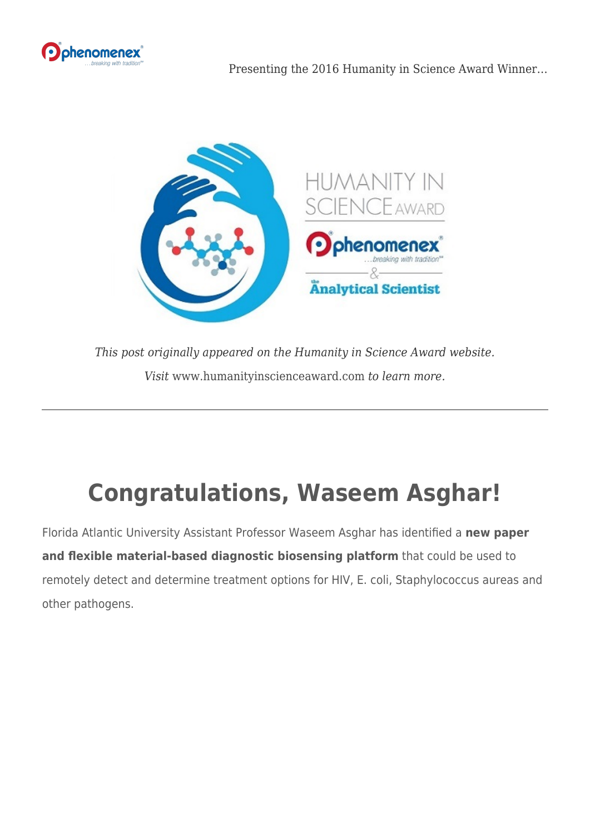



*This post originally appeared on the Humanity in Science Award website. Visit* [www.humanityinscienceaward.com](http://www.humanityinscienceaward.com) *to learn more.*

## **Congratulations, Waseem Asghar!**

Florida Atlantic University Assistant Professor Waseem Asghar has identified a **new paper and flexible material-based diagnostic biosensing platform** that could be used to remotely detect and determine treatment options for HIV, E. coli, Staphylococcus aureas and other pathogens.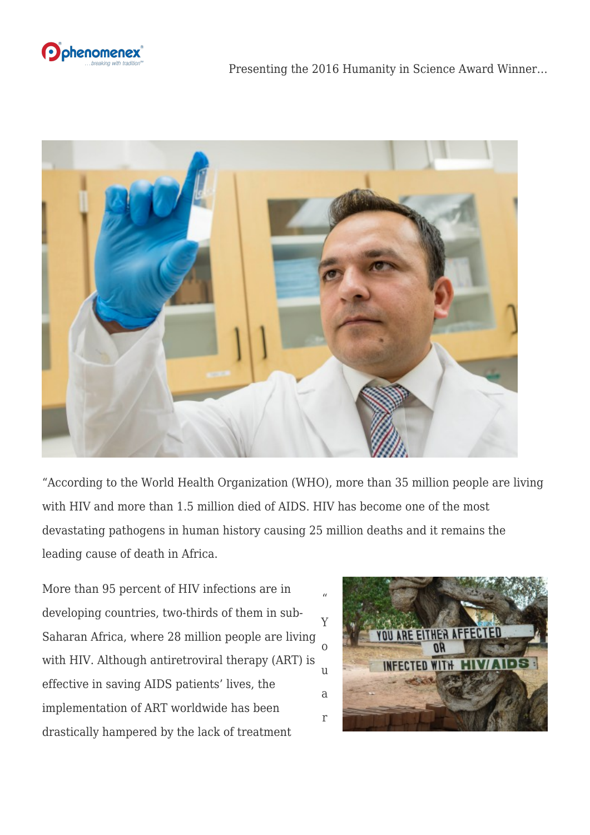



"According to the World Health Organization (WHO), more than 35 million people are living with HIV and more than 1.5 million died of AIDS. HIV has become one of the most devastating pathogens in human history causing 25 million deaths and it remains the leading cause of death in Africa.

More than 95 percent of HIV infections are in developing countries, two-thirds of them in sub-Saharan Africa, where 28 million people are living with HIV. Although antiretroviral therapy (ART) is effective in saving AIDS patients' lives, the implementation of ART worldwide has been drastically hampered by the lack of treatment

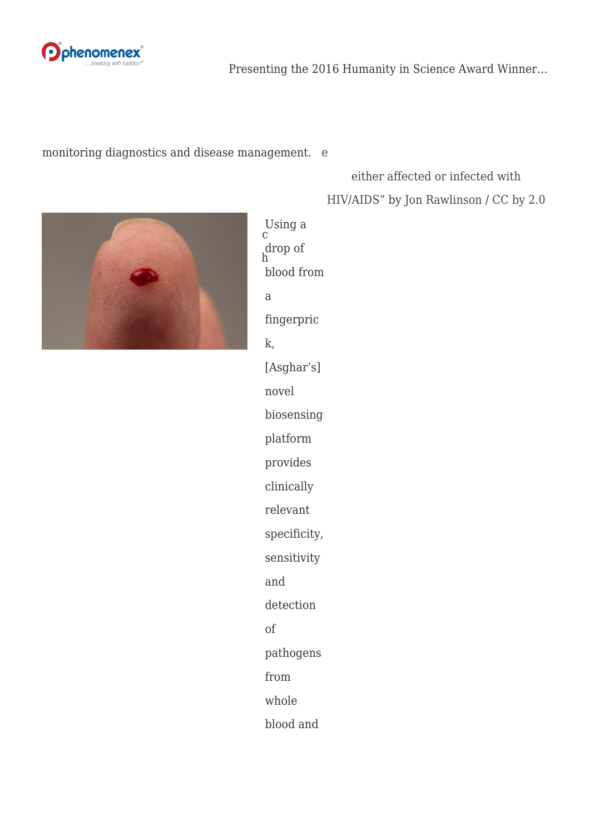

Presenting the 2016 Humanity in Science Award Winner…

## monitoring diagnostics and dis[e](https://www.flickr.com/photos/london/71462331)ase management. e

## [either affected or infected with](https://www.flickr.com/photos/london/71462331) [HIV/AIDS"](https://www.flickr.com/photos/london/71462331) by [Jon Rawlinson](https://www.flickr.com/photos/london/) / [CC by 2.0](https://creativecommons.org/licenses/by/2.0/)



Using a drop of blood from a fingerpric k, [Asghar's] novel biosensing platform provides clinically relevant specificity, sensitivity and detection of pathogens from whole blood and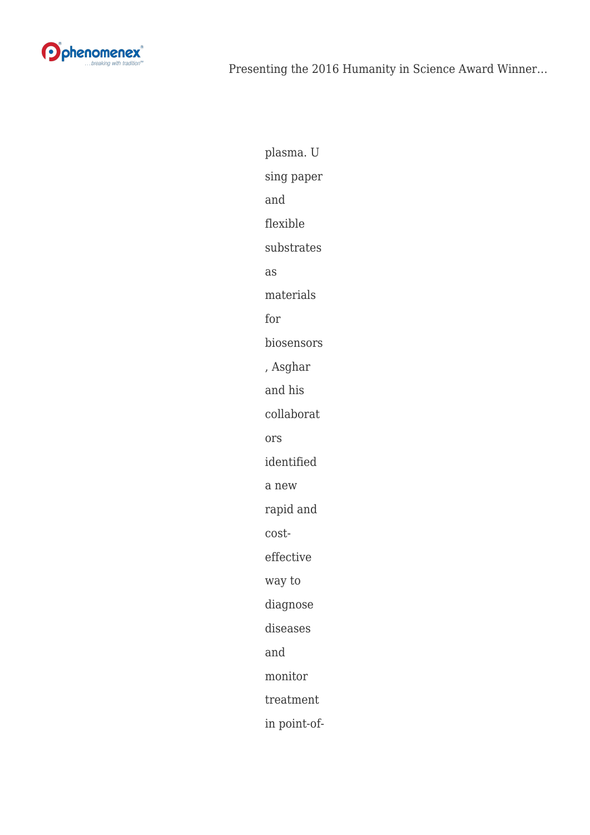

plasma. U sing paper and flexible substrates as materials for biosensors , Asghar and his collaborat ors identified a new rapid and costeffective way to diagnose diseases and monitor treatment in point-of-